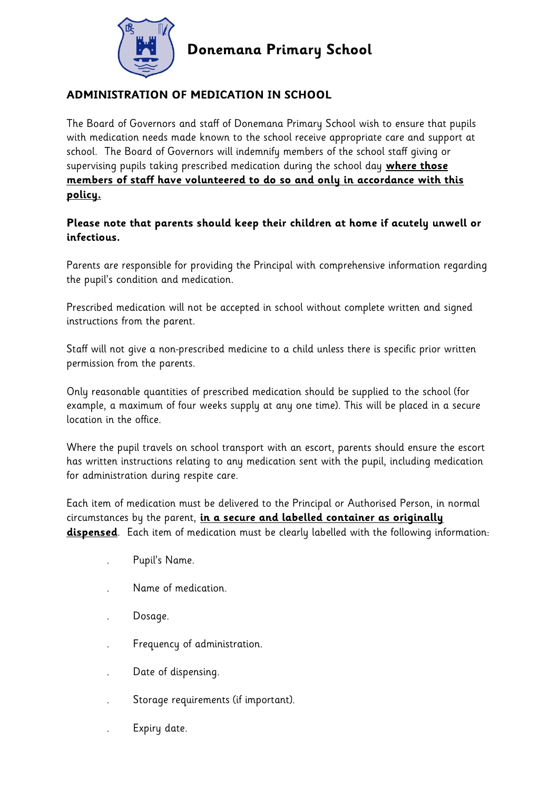

## **ADMINISTRATION OF MEDICATION IN SCHOOL**

The Board of Governors and staff of Donemana Primary School wish to ensure that pupils with medication needs made known to the school receive appropriate care and support at school. The Board of Governors will indemnify members of the school staff giving or supervising pupils taking prescribed medication during the school day **where those members of staff have volunteered to do so and only in accordance with this policy.**

## **Please note that parents should keep their children at home if acutely unwell or infectious.**

Parents are responsible for providing the Principal with comprehensive information regarding the pupil's condition and medication.

Prescribed medication will not be accepted in school without complete written and signed instructions from the parent.

Staff will not give a non-prescribed medicine to a child unless there is specific prior written permission from the parents.

Only reasonable quantities of prescribed medication should be supplied to the school (for example, a maximum of four weeks supply at any one time). This will be placed in a secure location in the office.

Where the pupil travels on school transport with an escort, parents should ensure the escort has written instructions relating to any medication sent with the pupil, including medication for administration during respite care.

Each item of medication must be delivered to the Principal or Authorised Person, in normal circumstances by the parent, **in a secure and labelled container as originally dispensed**. Each item of medication must be clearly labelled with the following information:

- . Pupil's Name.
- . Name of medication.
- . Dosage.
- . Frequency of administration.
- . Date of dispensing.
- . Storage requirements (if important).
- . Expiry date.